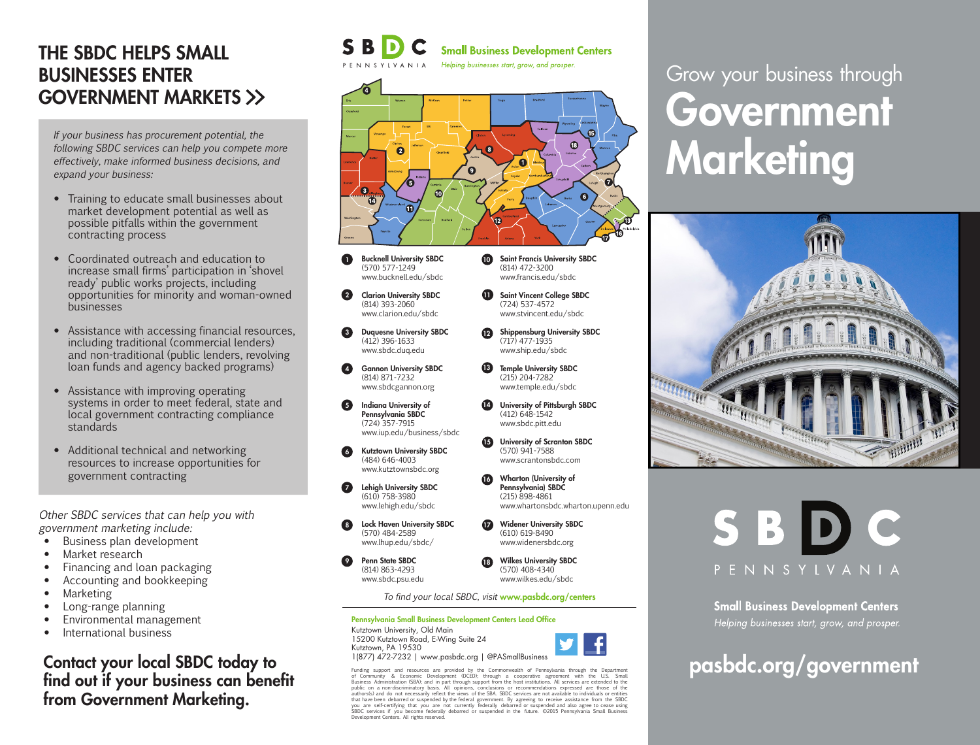### THE SBDC HELPS SMALL BUSINESSES ENTER GOVERNMENT MARKETS >>

If your business has procurement potential, the following SBDC services can help you compete more effectively, make informed business decisions, and expand your business:

- Training to educate small businesses about market development potential as well as possible pitfalls within the government contracting process
- Coordinated outreach and education to increase small firms' participation in 'shovel ready' public works projects, including opportunities for minority and woman-owned businesses
- Assistance with accessing financial resources, including traditional (commercial lenders) and non-traditional (public lenders, revolving loan funds and agency backed programs)
- Assistance with improving operating systems in order to meet federal, state and local government contracting compliance standards
- Additional technical and networking resources to increase opportunities for government contracting

Other SBDC services that can help you with government marketing include:

- Business plan development
- Market research
- Financing and loan packaging
- Accounting and bookkeeping
- Marketing
- Long-range planning
- Environmental management
- International business

Contact your local SBDC today to find out if your business can benefit from Government Marketing.

#### **Small Business Development Centers** Helping businesses start, grow, and prosper.

 $\Omega$  $\boldsymbol{\Theta}$ Ô  $\mathbf{O}$  $\mathbf{\Theta}$  $\overline{\bm{v}}$ 

- Bucknell University SBDC (570) 577-1249 www.bucknell.edu/sbdc  $\bf o$
- Clarion University SBDC (814) 393-2060 www.clarion.edu/sbdc 2
- Duquesne University SBDC (412) 396-1633 www.sbdc.duq.edu 3
- 4 Gannon University SBDC (814) 871-7232 www.sbdcgannon.org
- Indiana University of Pennsylvania SBDC (724) 357-7915 www.iup.edu/business/sbdc 6
- Kutztown University SBDC (484) 646-4003 www.kutztownsbdc.org 6
- **7** Lehigh University SBDC (610) 758-3980 www.lehigh.edu/sbdc
- Lock Haven University SBDC (570) 484-2589 www.lhup.edu/sbdc/ 8
- Penn State SBDC (814) 863-4293 www.sbdc.psu.edu 9
- Wilkes University SBDC (570) 408-4340 www.wilkes.edu/sbdc 18

Widener University SBDC (610) 619-8490 www.widenersbdc.org

www.whartonsbdc.wharton.upenn.edu

10 Saint Francis University SBDC (814) 472-3200 www.francis.edu/sbdc **U** Saint Vincent College SBDC (724) 537-4572 www.stvincent.edu/sbdc Shippensburg University SBDC 12 (717) 477-1935 www.ship.edu/sbdc **13** Temple University SBDC (215) 204-7282 www.temple.edu/sbdc University of Pittsburgh SBDC 14 (412) 648-1542 www.sbdc.pitt.edu University of Scranton SBDC 15 (570) 941-7588 www.scrantonsbdc.com Wharton (University of Pennsylvania) SBDC (215) 898-4861

To find your local SBDC, visit www.pasbdc.org/centers

16

 $\boldsymbol{\Omega}$ 

Pennsylvania Small Business Development Centers Lead Office Kutztown University, Old Main 15200 Kutztown Road, E-Wing Suite 24 Kutztown, PA 19530 1(877) 472-7232 | www.pasbdc.org | @PASmallBusiness



# Government **Marketing** Grow your business through





**Small Business Development Centers** Helping businesses start, grow, and prosper.

# pasbdc.org/government